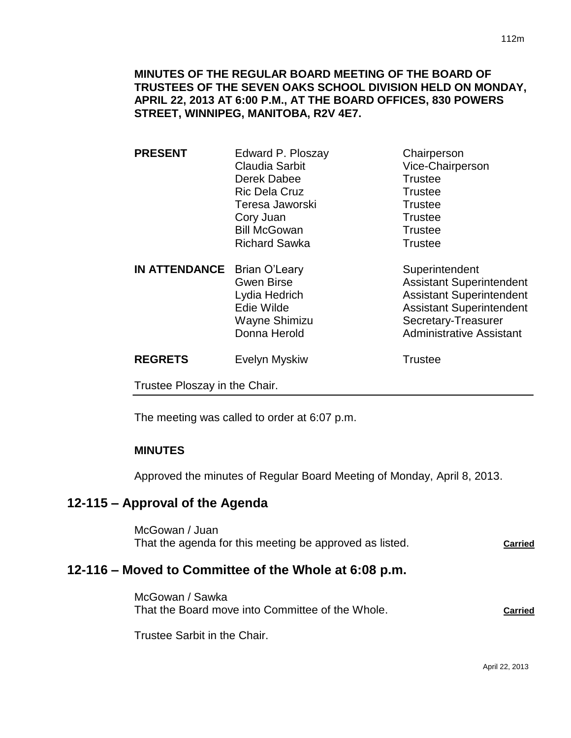**MINUTES OF THE REGULAR BOARD MEETING OF THE BOARD OF TRUSTEES OF THE SEVEN OAKS SCHOOL DIVISION HELD ON MONDAY, APRIL 22, 2013 AT 6:00 P.M., AT THE BOARD OFFICES, 830 POWERS STREET, WINNIPEG, MANITOBA, R2V 4E7.**

- **PRESENT** Edward P. Ploszay Chairperson Claudia Sarbit Vice-Chairperson Derek Dabee Trustee Ric Dela Cruz **Trustee** Teresa Jaworski **Trustee** Cory Juan Trustee Bill McGowan Trustee Richard Sawka Trustee
- **IN ATTENDANCE** Brian O'Leary Superintendent Gwen Birse **Assistant Superintendent** Lydia Hedrich **Assistant Superintendent** Edie Wilde **Assistant Superintendent** Wayne Shimizu Secretary-Treasurer Donna Herold **Administrative Assistant**

**REGRETS** Evelyn Myskiw **Trustee** 

Trustee Ploszay in the Chair.

The meeting was called to order at 6:07 p.m.

### **MINUTES**

Approved the minutes of Regular Board Meeting of Monday, April 8, 2013.

# **12-115 – Approval of the Agenda**

McGowan / Juan That the agenda for this meeting be approved as listed. **Carried**

### **12-116 – Moved to Committee of the Whole at 6:08 p.m.**

McGowan / Sawka That the Board move into Committee of the Whole. **Carried**

Trustee Sarbit in the Chair.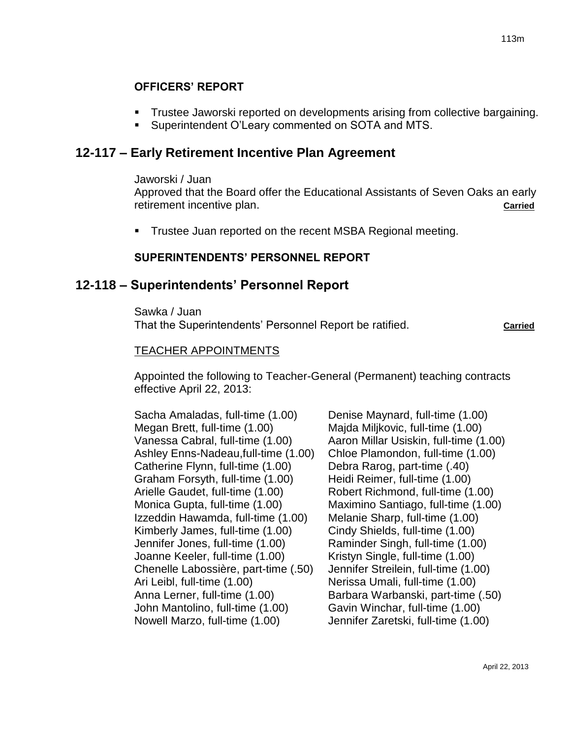## **OFFICERS' REPORT**

- Trustee Jaworski reported on developments arising from collective bargaining.
- **Superintendent O'Leary commented on SOTA and MTS.**

# **12-117 – Early Retirement Incentive Plan Agreement**

#### Jaworski / Juan

Approved that the Board offer the Educational Assistants of Seven Oaks an early retirement incentive plan. **Carried**

Trustee Juan reported on the recent MSBA Regional meeting.

## **SUPERINTENDENTS' PERSONNEL REPORT**

## **12-118 – Superintendents' Personnel Report**

Sawka / Juan That the Superintendents' Personnel Report be ratified. **Carried**

### TEACHER APPOINTMENTS

Appointed the following to Teacher-General (Permanent) teaching contracts effective April 22, 2013:

Sacha Amaladas, full-time (1.00) Megan Brett, full-time (1.00) Vanessa Cabral, full-time (1.00) Ashley Enns-Nadeau,full-time (1.00) Catherine Flynn, full-time (1.00) Graham Forsyth, full-time (1.00) Arielle Gaudet, full-time (1.00) Monica Gupta, full-time (1.00) Izzeddin Hawamda, full-time (1.00) Kimberly James, full-time (1.00) Jennifer Jones, full-time (1.00) Joanne Keeler, full-time (1.00) Chenelle Labossière, part-time (.50) Ari Leibl, full-time (1.00) Anna Lerner, full-time (1.00) John Mantolino, full-time (1.00) Nowell Marzo, full-time (1.00)

Denise Maynard, full-time (1.00) Majda Miljkovic, full-time (1.00) Aaron Millar Usiskin, full-time (1.00) Chloe Plamondon, full-time (1.00) Debra Rarog, part-time (.40) Heidi Reimer, full-time (1.00) Robert Richmond, full-time (1.00) Maximino Santiago, full-time (1.00) Melanie Sharp, full-time (1.00) Cindy Shields, full-time (1.00) Raminder Singh, full-time (1.00) Kristyn Single, full-time (1.00) Jennifer Streilein, full-time (1.00) Nerissa Umali, full-time (1.00) Barbara Warbanski, part-time (.50) Gavin Winchar, full-time (1.00) Jennifer Zaretski, full-time (1.00)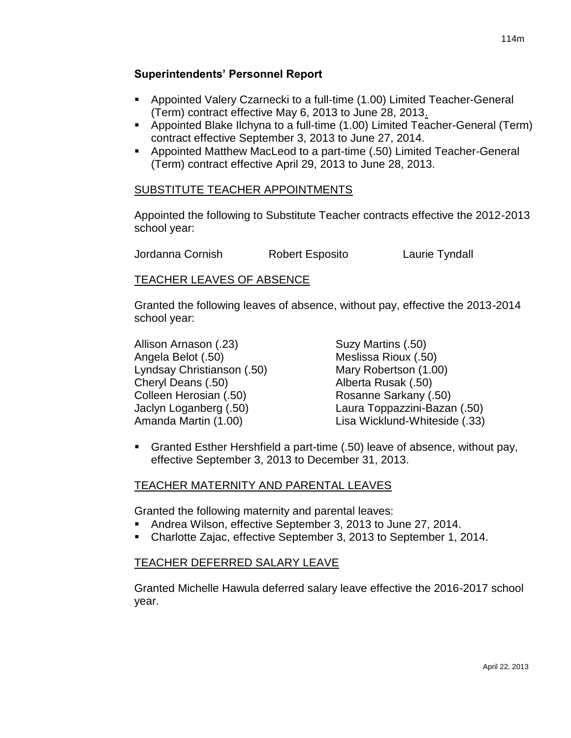### **Superintendents' Personnel Report**

- Appointed Valery Czarnecki to a full-time (1.00) Limited Teacher-General (Term) contract effective May 6, 2013 to June 28, 2013.
- Appointed Blake Ilchyna to a full-time (1.00) Limited Teacher-General (Term) contract effective September 3, 2013 to June 27, 2014.
- Appointed Matthew MacLeod to a part-time (.50) Limited Teacher-General (Term) contract effective April 29, 2013 to June 28, 2013.

### SUBSTITUTE TEACHER APPOINTMENTS

Appointed the following to Substitute Teacher contracts effective the 2012-2013 school year:

Jordanna Cornish Robert Esposito Laurie Tyndall

### TEACHER LEAVES OF ABSENCE

Granted the following leaves of absence, without pay, effective the 2013-2014 school year:

Allison Arnason (.23) Suzy Martins (.50) Angela Belot (.50) Meslissa Rioux (.50) Lyndsay Christianson (.50) Mary Robertson (1.00) Cheryl Deans (.50) Alberta Rusak (.50) Colleen Herosian (.50) Rosanne Sarkany (.50)

- Jaclyn Loganberg (.50) Laura Toppazzini-Bazan (.50) Amanda Martin (1.00) Lisa Wicklund-Whiteside (.33)
- Granted Esther Hershfield a part-time (.50) leave of absence, without pay, effective September 3, 2013 to December 31, 2013.

### TEACHER MATERNITY AND PARENTAL LEAVES

Granted the following maternity and parental leaves:

- Andrea Wilson, effective September 3, 2013 to June 27, 2014.
- Charlotte Zajac, effective September 3, 2013 to September 1, 2014.

### TEACHER DEFERRED SALARY LEAVE

Granted Michelle Hawula deferred salary leave effective the 2016-2017 school year.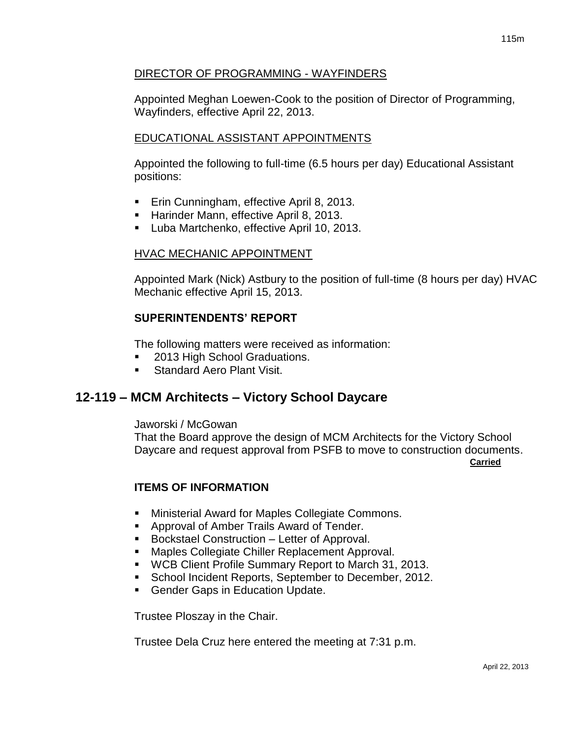### DIRECTOR OF PROGRAMMING - WAYFINDERS

Appointed Meghan Loewen-Cook to the position of Director of Programming, Wayfinders, effective April 22, 2013.

### EDUCATIONAL ASSISTANT APPOINTMENTS

Appointed the following to full-time (6.5 hours per day) Educational Assistant positions:

- **Erin Cunningham, effective April 8, 2013.**
- **Harinder Mann, effective April 8, 2013.**
- **Luba Martchenko, effective April 10, 2013.**

### HVAC MECHANIC APPOINTMENT

Appointed Mark (Nick) Astbury to the position of full-time (8 hours per day) HVAC Mechanic effective April 15, 2013.

### **SUPERINTENDENTS' REPORT**

The following matters were received as information:

- 2013 High School Graduations.
- **Standard Aero Plant Visit.**

# **12-119 – MCM Architects – Victory School Daycare**

Jaworski / McGowan

That the Board approve the design of MCM Architects for the Victory School Daycare and request approval from PSFB to move to construction documents.

**Carried**

### **ITEMS OF INFORMATION**

- **Ministerial Award for Maples Collegiate Commons.**
- **Approval of Amber Trails Award of Tender.**
- Bockstael Construction Letter of Approval.
- **Maples Collegiate Chiller Replacement Approval.**
- WCB Client Profile Summary Report to March 31, 2013.
- **School Incident Reports, September to December, 2012.**
- **Gender Gaps in Education Update.**

Trustee Ploszay in the Chair.

Trustee Dela Cruz here entered the meeting at 7:31 p.m.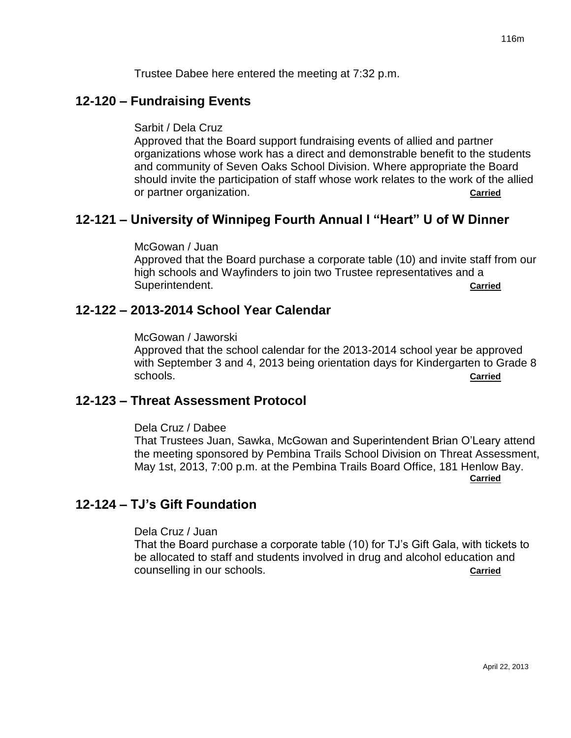Trustee Dabee here entered the meeting at 7:32 p.m.

## **12-120 – Fundraising Events**

Sarbit / Dela Cruz

Approved that the Board support fundraising events of allied and partner organizations whose work has a direct and demonstrable benefit to the students and community of Seven Oaks School Division. Where appropriate the Board should invite the participation of staff whose work relates to the work of the allied or partner organization. **Carried**

# **12-121 – University of Winnipeg Fourth Annual I "Heart" U of W Dinner**

McGowan / Juan

Approved that the Board purchase a corporate table (10) and invite staff from our high schools and Wayfinders to join two Trustee representatives and a Superintendent. **Carried**

## **12-122 – 2013-2014 School Year Calendar**

McGowan / Jaworski

Approved that the school calendar for the 2013-2014 school year be approved with September 3 and 4, 2013 being orientation days for Kindergarten to Grade 8 schools. **Carried**

### **12-123 – Threat Assessment Protocol**

#### Dela Cruz / Dabee

That Trustees Juan, Sawka, McGowan and Superintendent Brian O'Leary attend the meeting sponsored by Pembina Trails School Division on Threat Assessment, May 1st, 2013, 7:00 p.m. at the Pembina Trails Board Office, 181 Henlow Bay. **Carried**

# **12-124 – TJ's Gift Foundation**

#### Dela Cruz / Juan

That the Board purchase a corporate table (10) for TJ's Gift Gala, with tickets to be allocated to staff and students involved in drug and alcohol education and counselling in our schools. **Carried**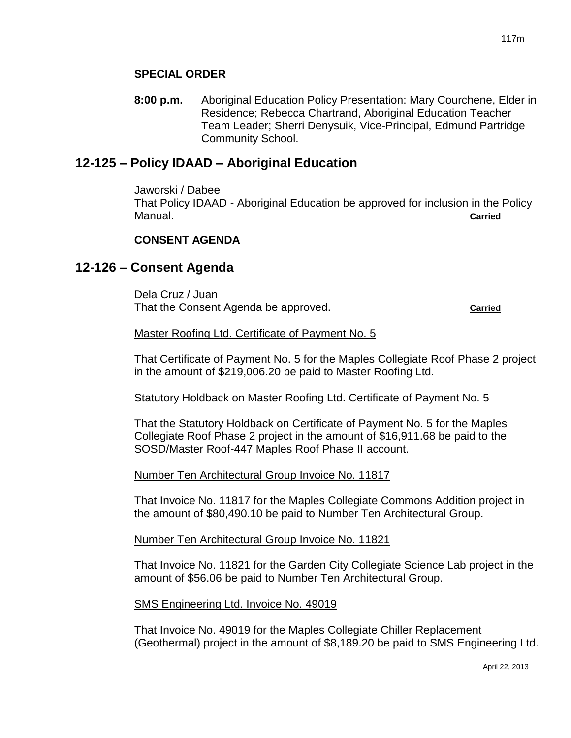### **SPECIAL ORDER**

**8:00 p.m.** Aboriginal Education Policy Presentation: Mary Courchene, Elder in Residence; Rebecca Chartrand, Aboriginal Education Teacher Team Leader; Sherri Denysuik, Vice-Principal, Edmund Partridge Community School.

## **12-125 – Policy IDAAD – Aboriginal Education**

Jaworski / Dabee That Policy IDAAD - Aboriginal Education be approved for inclusion in the Policy Manual. **Carried**

### **CONSENT AGENDA**

## **12-126 – Consent Agenda**

Dela Cruz / Juan That the Consent Agenda be approved. **Carried Carried** 

#### Master Roofing Ltd. Certificate of Payment No. 5

That Certificate of Payment No. 5 for the Maples Collegiate Roof Phase 2 project in the amount of \$219,006.20 be paid to Master Roofing Ltd.

#### Statutory Holdback on Master Roofing Ltd. Certificate of Payment No. 5

That the Statutory Holdback on Certificate of Payment No. 5 for the Maples Collegiate Roof Phase 2 project in the amount of \$16,911.68 be paid to the SOSD/Master Roof-447 Maples Roof Phase II account.

#### Number Ten Architectural Group Invoice No. 11817

That Invoice No. 11817 for the Maples Collegiate Commons Addition project in the amount of \$80,490.10 be paid to Number Ten Architectural Group.

#### Number Ten Architectural Group Invoice No. 11821

That Invoice No. 11821 for the Garden City Collegiate Science Lab project in the amount of \$56.06 be paid to Number Ten Architectural Group.

#### SMS Engineering Ltd. Invoice No. 49019

That Invoice No. 49019 for the Maples Collegiate Chiller Replacement (Geothermal) project in the amount of \$8,189.20 be paid to SMS Engineering Ltd.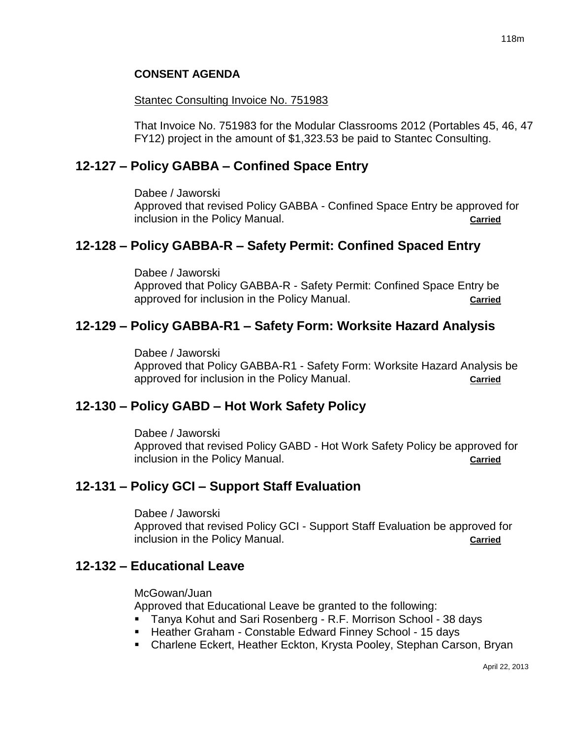### **CONSENT AGENDA**

#### **Stantec Consulting Invoice No. 751983**

That Invoice No. 751983 for the Modular Classrooms 2012 (Portables 45, 46, 47 FY12) project in the amount of \$1,323.53 be paid to Stantec Consulting.

## **12-127 – Policy GABBA – Confined Space Entry**

Dabee / Jaworski

Approved that revised Policy GABBA - Confined Space Entry be approved for inclusion in the Policy Manual. **Carried**

## **12-128 – Policy GABBA-R – Safety Permit: Confined Spaced Entry**

Dabee / Jaworski

Approved that Policy GABBA-R - Safety Permit: Confined Space Entry be approved for inclusion in the Policy Manual. **Carried**

# **12-129 – Policy GABBA-R1 – Safety Form: Worksite Hazard Analysis**

Dabee / Jaworski Approved that Policy GABBA-R1 - Safety Form: Worksite Hazard Analysis be approved for inclusion in the Policy Manual. **Carried** 

# **12-130 – Policy GABD – Hot Work Safety Policy**

Dabee / Jaworski

Approved that revised Policy GABD - Hot Work Safety Policy be approved for inclusion in the Policy Manual. **Carried**

# **12-131 – Policy GCI – Support Staff Evaluation**

Dabee / Jaworski

Approved that revised Policy GCI - Support Staff Evaluation be approved for inclusion in the Policy Manual. **Carried Carried** 

### **12-132 – Educational Leave**

McGowan/Juan

Approved that Educational Leave be granted to the following:

- Tanya Kohut and Sari Rosenberg R.F. Morrison School 38 days
- Heather Graham Constable Edward Finney School 15 days
- Charlene Eckert, Heather Eckton, Krysta Pooley, Stephan Carson, Bryan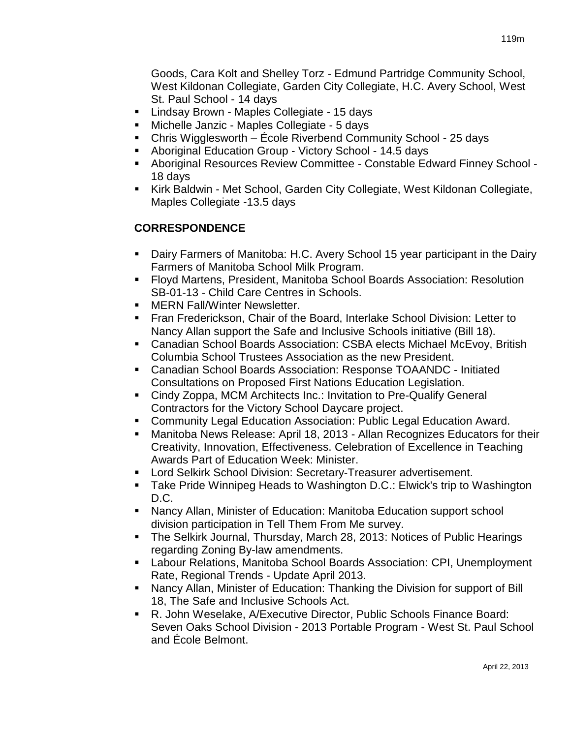Goods, Cara Kolt and Shelley Torz - Edmund Partridge Community School, West Kildonan Collegiate, Garden City Collegiate, H.C. Avery School, West St. Paul School - 14 days

- **E** Lindsay Brown Maples Collegiate 15 days
- Michelle Janzic Maples Collegiate 5 days
- Chris Wigglesworth École Riverbend Community School 25 days
- Aboriginal Education Group Victory School 14.5 days
- Aboriginal Resources Review Committee Constable Edward Finney School 18 days
- Kirk Baldwin Met School, Garden City Collegiate, West Kildonan Collegiate, Maples Collegiate -13.5 days

# **CORRESPONDENCE**

- Dairy Farmers of Manitoba: H.C. Avery School 15 year participant in the Dairy Farmers of Manitoba School Milk Program.
- Floyd Martens, President, Manitoba School Boards Association: Resolution SB-01-13 - Child Care Centres in Schools.
- MERN Fall/Winter Newsletter.
- Fran Frederickson, Chair of the Board, Interlake School Division: Letter to Nancy Allan support the Safe and Inclusive Schools initiative (Bill 18).
- Canadian School Boards Association: CSBA elects Michael McEvoy, British Columbia School Trustees Association as the new President.
- Canadian School Boards Association: Response TOAANDC Initiated Consultations on Proposed First Nations Education Legislation.
- Cindy Zoppa, MCM Architects Inc.: Invitation to Pre-Qualify General Contractors for the Victory School Daycare project.
- **Community Legal Education Association: Public Legal Education Award.**
- Manitoba News Release: April 18, 2013 Allan Recognizes Educators for their Creativity, Innovation, Effectiveness. Celebration of Excellence in Teaching Awards Part of Education Week: Minister.
- Lord Selkirk School Division: Secretary-Treasurer advertisement.
- Take Pride Winnipeg Heads to Washington D.C.: Elwick's trip to Washington D.C.
- Nancy Allan, Minister of Education: Manitoba Education support school division participation in Tell Them From Me survey.
- The Selkirk Journal, Thursday, March 28, 2013: Notices of Public Hearings regarding Zoning By-law amendments.
- Labour Relations, Manitoba School Boards Association: CPI, Unemployment Rate, Regional Trends - Update April 2013.
- Nancy Allan, Minister of Education: Thanking the Division for support of Bill 18, The Safe and Inclusive Schools Act.
- R. John Weselake, A/Executive Director, Public Schools Finance Board: Seven Oaks School Division - 2013 Portable Program - West St. Paul School and École Belmont.